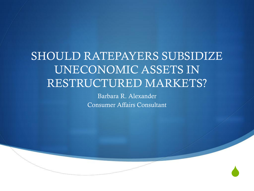#### SHOULD RATEPAYERS SUBSIDIZE UNECONOMIC ASSETS IN RESTRUCTURED MARKETS?

Barbara R. Alexander Consumer Affairs Consultant

 $\blacklozenge$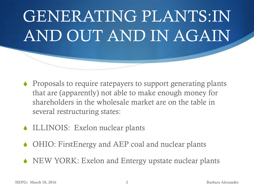## GENERATING PLANTS:IN AND OUT AND IN AGAIN

- $\bullet$  Proposals to require ratepayers to support generating plants that are (apparently) not able to make enough money for shareholders in the wholesale market are on the table in several restructuring states:
- $\triangle$  ILLINOIS: Exelon nuclear plants
- $\triangle$  OHIO: FirstEnergy and AEP coal and nuclear plants
- $\bullet$  NEW YORK: Exelon and Entergy upstate nuclear plants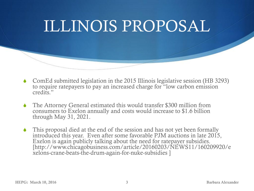# ILLINOIS PROPOSAL

- S ComEd submitted legislation in the 2015 Illinois legislative session (HB 3293) to require ratepayers to pay an increased charge for "low carbon emission credits."
- The Attorney General estimated this would transfer \$300 million from consumers to Exelon annually and costs would increase to \$1.6 billion through May 31, 2021.
- $\bullet$  This proposal died at the end of the session and has not yet been formally introduced this year. Even after some favorable PJM auctions in late 2015, Exelon is again publicly talking about the need for ratepayer subsidies. [http://www.chicagobusiness.com/article/20160203/NEWS11/160209920/e xelons-crane-beats-the-drum-again-for-nuke-subsidies ]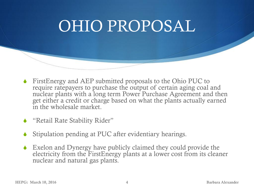### OHIO PROPOSAL

- $\blacklozenge$  FirstEnergy and AEP submitted proposals to the Ohio PUC to require ratepayers to purchase the output of certain aging coal and nuclear plants with a long term Power Purchase Agreement and then get either a credit or charge based on what the plants actually earned in the wholesale market.
- ◆ "Retail Rate Stability Rider"
- Stipulation pending at PUC after evidentiary hearings.
- $\bullet$  Exelon and Dynergy have publicly claimed they could provide the electricity from the FirstEnergy plants at a lower cost from its cleaner nuclear and natural gas plants.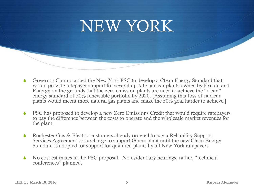#### NEW YORK

- Governor Cuomo asked the New York PSC to develop a Clean Energy Standard that would provide ratepayer support for several upstate nuclear plants owned by Exelon and Entergy on the grounds that the zero emission plants are need to achieve the "clean" energy standard of 50% renewable portfolio by 2020. [Assuming that loss of nuclear plants would incent more natural gas plants and make the 50% goal harder to achieve.]
- **PSC** has proposed to develop a new Zero Emissions Credit that would require ratepayers to pay the difference between the costs to operate and the wholesale market revenues for the plant.
- $\bullet$  Rochester Gas & Electric customers already ordered to pay a Reliability Support Services Agreement or surcharge to support Ginna plant until the new Clean Energy Standard is adopted for support for qualified plants by all New York ratepayers.
- No cost estimates in the PSC proposal. No evidentiary hearings; rather, "technical conferences" planned.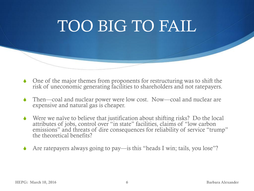### TOO BIG TO FAIL

- One of the major themes from proponents for restructuring was to shift the risk of uneconomic generating facilities to shareholders and not ratepayers.
- Then—coal and nuclear power were low cost. Now—coal and nuclear are expensive and natural gas is cheaper.
- $\blacklozenge$  Were we naïve to believe that justification about shifting risks? Do the local attributes of jobs, control over "in state" facilities, claims of "low carbon emissions" and threats of dire consequences for reliability of service "trump" the theoretical benefits?
- $\triangle$  Are ratepayers always going to pay—is this "heads I win; tails, you lose"?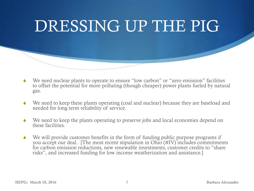

- We need nuclear plants to operate to ensure "low carbon" or "zero emission" facilities to offset the potential for more polluting (though cheaper) power plants fueled by natural gas.
- We need to keep these plants operating (coal and nuclear) because they are baseload and needed for long term reliability of service.
- We need to keep the plants operating to preserve jobs and local economies depend on these facilities.
- We will provide customer benefits in the form of funding public purpose programs if you accept our deal. [The most recent stipulation in Ohio (#IV) includes commitments for carbon emission reductions, new renewable investments, customer credits to "share risks", and increased funding for low income weatherization and assistance.]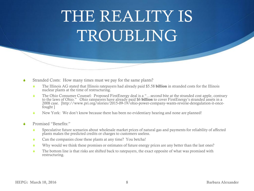### THE REALITY IS TROUBLING

- Stranded Costs: How many times must we pay for the same plants?
	- S The Illinois AG stated that Illinois ratepayers had already paid \$5.58 **billion** in stranded costs for the Illinois nuclear plants at the time of restructuring.
	- ◆ The Ohio Consumer Counsel: Proposed FirstEnergy deal is a "…second bite at the stranded cost apple, contrary to the laws of Ohio." Ohio ratepayers have already paid \$6 **billion** to cover FirstEnergy's stranded assets in a 2008 case. [http://www.pri.org/stories/2015-09-19/ohio-power-company-wants-reverse-deregulation-it-oncefought ]
	- New York: We don't know because there has been no evidentiary hearing and none are planned!
- Promised "Benefits:"
	- S Speculative future scenarios about wholesale market prices of natural gas and payments for reliability of affected plants makes the predicted credits or charges to customers useless.
	- $\bullet$  Can the companies close these plants at any time? You betcha!
	- S Why would we think these promises or estimates of future energy prices are any better than the last ones?
	- The bottom line is that risks are shifted back to ratepayers, the exact opposite of what was promised with restructuring.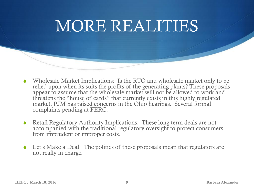#### MORE REALITIES

- Wholesale Market Implications: Is the RTO and wholesale market only to be relied upon when its suits the profits of the generating plants? These proposals appear to assume that the wholesale market will not be allowed to work and threatens the "house of cards" that currently exists in this highly regulated market. PJM has raised concerns in the Ohio hearings. Several formal complaints pending at FERC.
- Retail Regulatory Authority Implications: These long term deals are not accompanied with the traditional regulatory oversight to protect consumers from imprudent or improper costs.
- $\triangle$  Let's Make a Deal: The politics of these proposals mean that regulators are not really in charge.